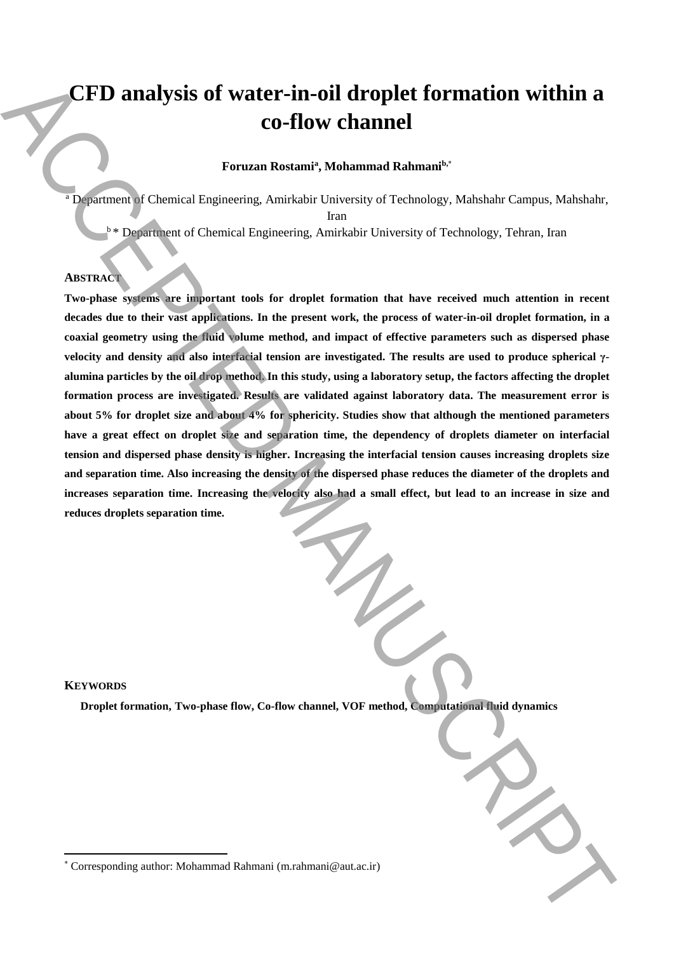# **CFD analysis of water-in-oil droplet formation within a co-flow channel**

# **Foruzan Rostami<sup>a</sup> , Mohammad Rahmanib,**\*

<sup>a</sup> Department of Chemical Engineering, Amirkabir University of Technology, Mahshahr Campus, Mahshahr, Iran

<sup>b</sup>\* Department of Chemical Engineering, Amirkabir University of Technology, Tehran, Iran

# **ABSTRACT**

**Two-phase systems are important tools for droplet formation that have received much attention in recent decades due to their vast applications. In the present work, the process of water-in-oil droplet formation, in a coaxial geometry using the fluid volume method, and impact of effective parameters such as dispersed phase velocity and density and also interfacial tension are investigated. The results are used to produce spherical γalumina particles by the oil drop method. In this study, using a laboratory setup, the factors affecting the droplet formation process are investigated. Results are validated against laboratory data. The measurement error is about 5% for droplet size and about 4% for sphericity. Studies show that although the mentioned parameters have a great effect on droplet size and separation time, the dependency of droplets diameter on interfacial tension and dispersed phase density is higher. Increasing the interfacial tension causes increasing droplets size and separation time. Also increasing the density of the dispersed phase reduces the diameter of the droplets and increases separation time. Increasing the velocity also had a small effect, but lead to an increase in size and reduces droplets separation time. EXPLORATION STATE:** The contained Bottom Conduction of Extraction Conduction Conduction Conduction Conduction Conduction Conduction Conduction Conduction Conduction Conduction Conduction Conduction Conduction Conduction

# **KEYWORDS**

 $\overline{a}$ 

**Droplet formation, Two-phase flow, Co-flow channel, VOF method, Computational fluid dynamics**

<sup>\*</sup> Corresponding author: Mohammad Rahmani (m.rahmani@aut.ac.ir)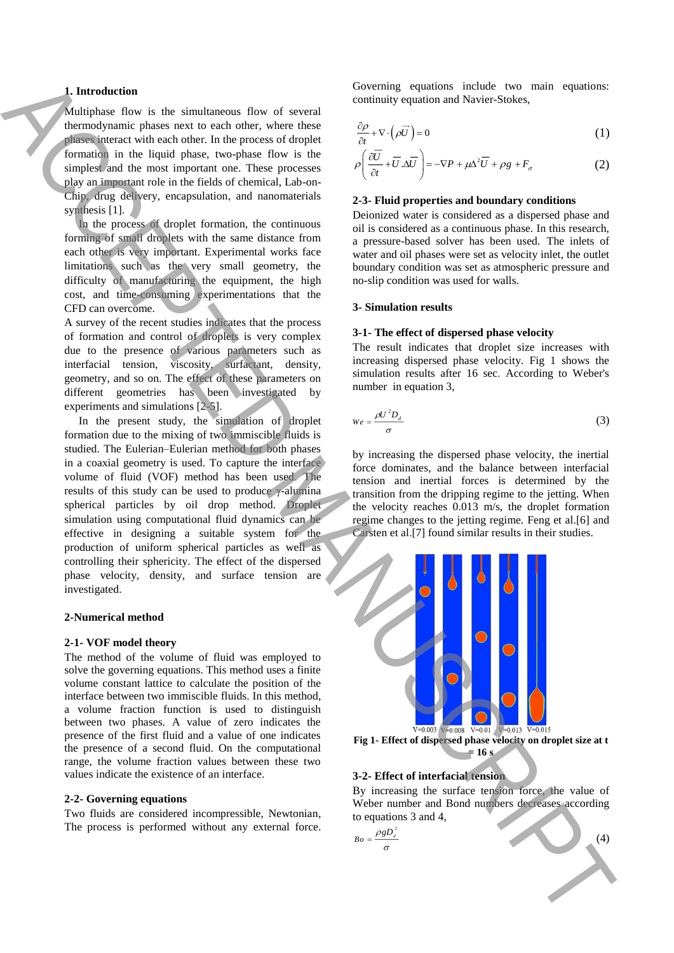# **1. Introduction**

Multiphase flow is the simultaneous flow of several thermodynamic phases next to each other, where these phases interact with each other. In the process of droplet formation in the liquid phase, two-phase flow is the simplest and the most important one. These processes play an important role in the fields of chemical, Lab-on-Chip, drug delivery, encapsulation, and nanomaterials synthesis [1].

 In the process of droplet formation, the continuous forming of small droplets with the same distance from each other is very important. Experimental works face limitations such as the very small geometry, the difficulty of manufacturing the equipment, the high cost, and time-consuming experimentations that the CFD can overcome.

A survey of the recent studies indicates that the process of formation and control of droplets is very complex due to the presence of various parameters such as interfacial tension, viscosity, surfactant, density, geometry, and so on. The effect of these parameters on different geometries has been investigated by experiments and simulations [2-5].

 In the present study, the simulation of droplet formation due to the mixing of two immiscible fluids is studied. The Eulerian–Eulerian method for both phases in a coaxial geometry is used. To capture the interface volume of fluid (VOF) method has been used. The results of this study can be used to produce γ-alumina spherical particles by oil drop method. Droplet simulation using computational fluid dynamics can be effective in designing a suitable system for the production of uniform spherical particles as well as controlling their sphericity. The effect of the dispersed phase velocity, density, and surface tension are investigated. A buttombased on the fact into the state of the state of the state of the state of the state of the state of the state of the state of the state of the state of the state of the state of the state of the state of the stat

# **2-Numerical method**

#### **2-1- VOF model theory**

The method of the volume of fluid was employed to solve the governing equations. This method uses a finite volume constant lattice to calculate the position of the interface between two immiscible fluids. In this method, a volume fraction function is used to distinguish between two phases. A value of zero indicates the presence of the first fluid and a value of one indicates the presence of a second fluid. On the computational range, the volume fraction values between these two values indicate the existence of an interface.

#### **2-2- Governing equations**

Two fluids are considered incompressible, Newtonian, The process is performed without any external force. Governing equations include two main equations: continuity equation and Navier-Stokes,

$$
\frac{\partial \rho}{\partial t} + \nabla \cdot (\rho \vec{U}) = 0 \tag{1}
$$

$$
\rho \left( \frac{\partial \overline{U}}{\partial t} + \overline{U} . \Delta \overline{U} \right) = -\nabla P + \mu \Delta^2 \overline{U} + \rho g + F_{\sigma}
$$
\n(2)

#### **2-3- Fluid properties and boundary conditions**

Deionized water is considered as a dispersed phase and oil is considered as a continuous phase. In this research, a pressure-based solver has been used. The inlets of water and oil phases were set as velocity inlet, the outlet boundary condition was set as atmospheric pressure and no-slip condition was used for walls.

### **3- Simulation results**

#### **3-1- The effect of dispersed phase velocity**

The result indicates that droplet size increases with increasing dispersed phase velocity. Fig 1 shows the simulation results after 16 sec. According to Weber's number in equation 3,

$$
We = \frac{\rho U^2 D_d}{\sigma} \tag{3}
$$

by increasing the dispersed phase velocity, the inertial force dominates, and the balance between interfacial tension and inertial forces is determined by the transition from the dripping regime to the jetting. When the velocity reaches 0.013 m/s, the droplet formation regime changes to the jetting regime. Feng et al.[6] and Carsten et al.[7] found similar results in their studies.



**Fig 1- Effect of dispersed phase velocity on droplet size at t = 16 s**

# **3-2- Effect of interfacial tension**

By increasing the surface tension force, the value of Weber number and Bond numbers decreases according to equations 3 and 4,

 $(4)$ 

$$
Bo = \frac{\rho g D_d^2}{\sigma}
$$